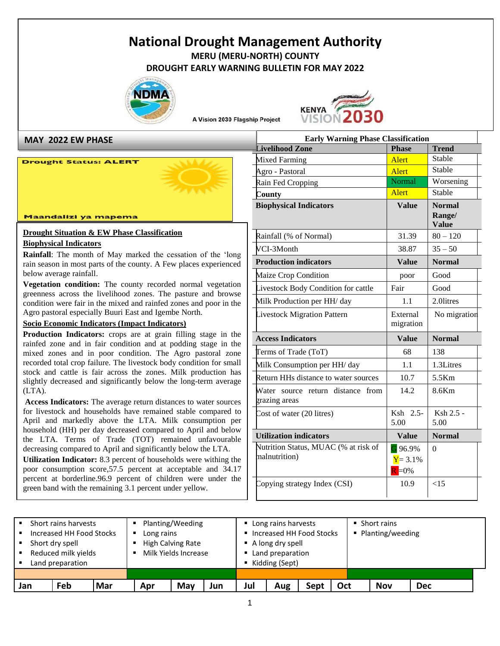# **National Drought Management Authority MERU (MERU-NORTH) COUNTY**

**DROUGHT EARLY WARNING BULLETIN FOR MAY 2022**



A Vision 2030 Flagship Project



**MAY 2022 EW PHASE**

#### **Drought Status: ALERT**

#### Maandalizi ya mapema

#### **Drought Situation & EW Phase Classification Biophysical Indicators**

**Rainfall**: The month of May marked the cessation of the 'long rain season in most parts of the county. A Few places experienced below average rainfall.

**Vegetation condition:** The county recorded normal vegetation greenness across the livelihood zones. The pasture and browse condition were fair in the mixed and rainfed zones and poor in the Agro pastoral especially Buuri East and Igembe North.

#### **Socio Economic Indicators (Impact Indicators)**

**Production Indicators:** crops are at grain filling stage in the rainfed zone and in fair condition and at podding stage in the mixed zones and in poor condition. The Agro pastoral zone recorded total crop failure. The livestock body condition for small stock and cattle is fair across the zones. Milk production has slightly decreased and significantly below the long-term average (LTA).

**Access Indicators:** The average return distances to water sources for livestock and households have remained stable compared to April and markedly above the LTA. Milk consumption per household (HH) per day decreased compared to April and below the LTA. Terms of Trade (TOT) remained unfavourable decreasing compared to April and significantly below the LTA.

**SUBARUM INDICATE:** 8.5 percent of households were withing the poor consumption score, 57.5 percent at acceptable and 34.17 **Utilization Indicator:** 8.3 percent of households were withing the percent at borderline.96.9 percent of children were under the green band with the remaining 3.1 percent under yellow.

| <b>Early Warning Phase Classification</b>                |                                     |                                         |  |  |  |  |  |
|----------------------------------------------------------|-------------------------------------|-----------------------------------------|--|--|--|--|--|
| Livelihood Zone                                          | <b>Phase</b>                        | <b>Trend</b>                            |  |  |  |  |  |
| Mixed Farming                                            | <b>Alert</b>                        | Stable                                  |  |  |  |  |  |
| Agro - Pastoral                                          | Alert                               | Stable                                  |  |  |  |  |  |
| Rain Fed Cropping                                        | Normal                              | Worsening                               |  |  |  |  |  |
| County                                                   | Alert                               | Stable                                  |  |  |  |  |  |
| <b>Biophysical Indicators</b>                            | <b>Value</b>                        | <b>Normal</b><br>Range/<br><b>Value</b> |  |  |  |  |  |
| Rainfall (% of Normal)                                   | 31.39                               | $80 - 120$                              |  |  |  |  |  |
| VCI-3Month                                               | 38.87                               | $35 - 50$                               |  |  |  |  |  |
| <b>Production indicators</b>                             | <b>Value</b>                        | <b>Normal</b>                           |  |  |  |  |  |
| Maize Crop Condition                                     | poor                                | Good                                    |  |  |  |  |  |
| Livestock Body Condition for cattle                      | Fair                                | Good                                    |  |  |  |  |  |
| Milk Production per HH/ day                              | 1.1                                 | 2.0litres                               |  |  |  |  |  |
| <b>Livestock Migration Pattern</b>                       | External                            | No migration                            |  |  |  |  |  |
|                                                          | migration                           |                                         |  |  |  |  |  |
| <b>Access Indicators</b>                                 | <b>Value</b>                        | <b>Normal</b>                           |  |  |  |  |  |
| Terms of Trade (ToT)                                     | 68                                  | 138                                     |  |  |  |  |  |
| Milk Consumption per HH/ day                             | 1.1                                 | 1.3Litres                               |  |  |  |  |  |
| Return HHs distance to water sources                     | 10.7                                | 5.5Km                                   |  |  |  |  |  |
| Water<br>source return distance<br>from<br>grazing areas | 14.2                                | 8.6Km                                   |  |  |  |  |  |
| Cost of water (20 litres)                                | Ksh 2.5-<br>5.00                    | Ksh 2.5 -<br>5.00                       |  |  |  |  |  |
| <b>Utilization indicators</b>                            | <b>Value</b>                        | <b>Normal</b>                           |  |  |  |  |  |
| Nutrition Status, MUAC (% at risk of<br>malnutrition)    | G 96.9%<br>$Y = 3.1\%$<br>$R = 0\%$ | $\Omega$                                |  |  |  |  |  |

| Jan | Feb                      | Mar | Apr                                                  | May                                     | Jun | Jul              | Aug                        | Sept               | Oct | <b>Nov</b> | <b>Dec</b> |  |  |
|-----|--------------------------|-----|------------------------------------------------------|-----------------------------------------|-----|------------------|----------------------------|--------------------|-----|------------|------------|--|--|
|     |                          |     |                                                      |                                         |     |                  |                            |                    |     |            |            |  |  |
|     | Land preparation         |     |                                                      |                                         |     |                  | Kidding (Sept)             |                    |     |            |            |  |  |
| ۰.  | Reduced milk yields      |     |                                                      | Milk Yields Increase                    |     | Land preparation |                            |                    |     |            |            |  |  |
|     | • Short dry spell        |     | High Calving Rate<br>$\blacksquare$ A long dry spell |                                         |     |                  |                            |                    |     |            |            |  |  |
|     | Increased HH Food Stocks |     | Increased HH Food Stocks<br>Long rains               |                                         |     |                  |                            | ■ Planting/weeding |     |            |            |  |  |
|     | • Short rains harvests   |     |                                                      | Planting/Weeding<br>Long rains harvests |     |                  | $\blacksquare$ Short rains |                    |     |            |            |  |  |
|     |                          |     |                                                      |                                         |     |                  |                            |                    |     |            |            |  |  |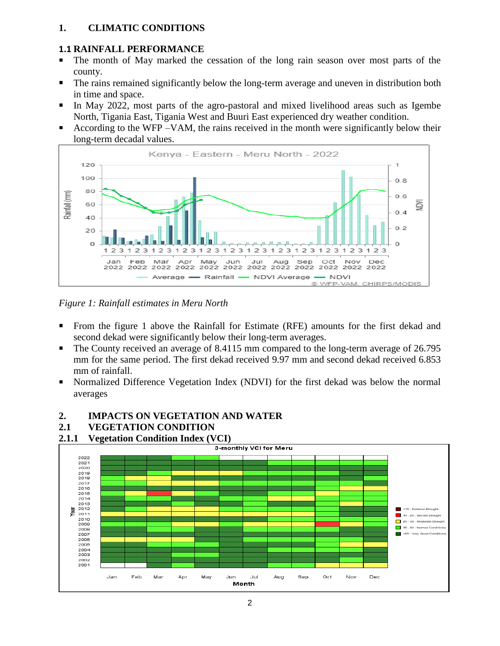#### **1. CLIMATIC CONDITIONS**

#### **1.1 RAINFALL PERFORMANCE**

- The month of May marked the cessation of the long rain season over most parts of the county.
- **•** The rains remained significantly below the long-term average and uneven in distribution both in time and space.
- In May 2022, most parts of the agro-pastoral and mixed livelihood areas such as Igembe North, Tigania East, Tigania West and Buuri East experienced dry weather condition.
- According to the WFP –VAM, the rains received in the month were significantly below their long-term decadal values.



*Figure 1: Rainfall estimates in Meru North*

- From the figure 1 above the Rainfall for Estimate (RFE) amounts for the first dekad and second dekad were significantly below their long-term averages.
- The County received an average of 8.4115 mm compared to the long-term average of 26.795 mm for the same period. The first dekad received 9.97 mm and second dekad received 6.853 mm of rainfall.
- Normalized Difference Vegetation Index (NDVI) for the first dekad was below the normal averages

#### **2. IMPACTS ON VEGETATION AND WATER**

#### **2.1 VEGETATION CONDITION**

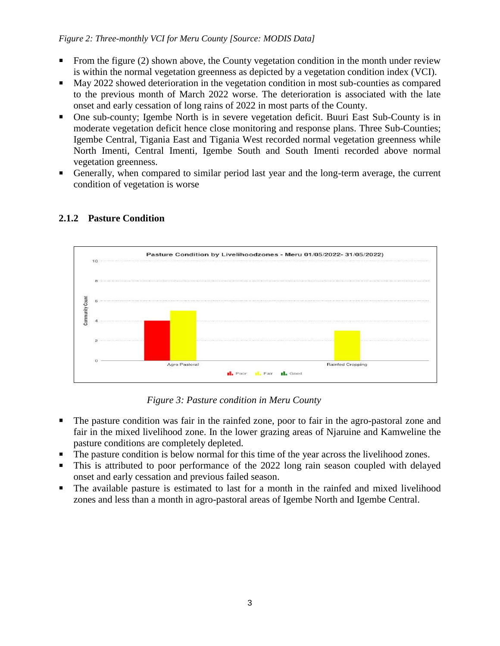#### *Figure 2: Three-monthly VCI for Meru County [Source: MODIS Data]*

- From the figure (2) shown above, the County vegetation condition in the month under review is within the normal vegetation greenness as depicted by a vegetation condition index (VCI).
- May 2022 showed deterioration in the vegetation condition in most sub-counties as compared to the previous month of March 2022 worse. The deterioration is associated with the late onset and early cessation of long rains of 2022 in most parts of the County.
- One sub-county; Igembe North is in severe vegetation deficit. Buuri East Sub-County is in moderate vegetation deficit hence close monitoring and response plans. Three Sub-Counties; Igembe Central, Tigania East and Tigania West recorded normal vegetation greenness while North Imenti, Central Imenti, Igembe South and South Imenti recorded above normal vegetation greenness.
- Generally, when compared to similar period last year and the long-term average, the current condition of vegetation is worse



#### **2.1.2 Pasture Condition**

*Figure 3: Pasture condition in Meru County*

- The pasture condition was fair in the rainfed zone, poor to fair in the agro-pastoral zone and fair in the mixed livelihood zone. In the lower grazing areas of Njaruine and Kamweline the pasture conditions are completely depleted.
- The pasture condition is below normal for this time of the year across the livelihood zones.
- **This is attributed to poor performance of the 2022 long rain season coupled with delayed** onset and early cessation and previous failed season.
- The available pasture is estimated to last for a month in the rainfed and mixed livelihood zones and less than a month in agro-pastoral areas of Igembe North and Igembe Central.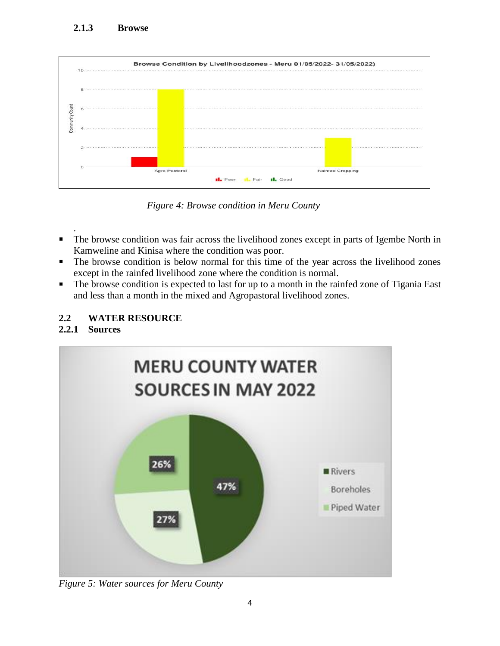

*Figure 4: Browse condition in Meru County*

- . ■ The browse condition was fair across the livelihood zones except in parts of Igembe North in Kamweline and Kinisa where the condition was poor.
- The browse condition is below normal for this time of the year across the livelihood zones except in the rainfed livelihood zone where the condition is normal.
- The browse condition is expected to last for up to a month in the rainfed zone of Tigania East and less than a month in the mixed and Agropastoral livelihood zones.

## **2.2 WATER RESOURCE**

## **2.2.1 Sources**



*Figure 5: Water sources for Meru County*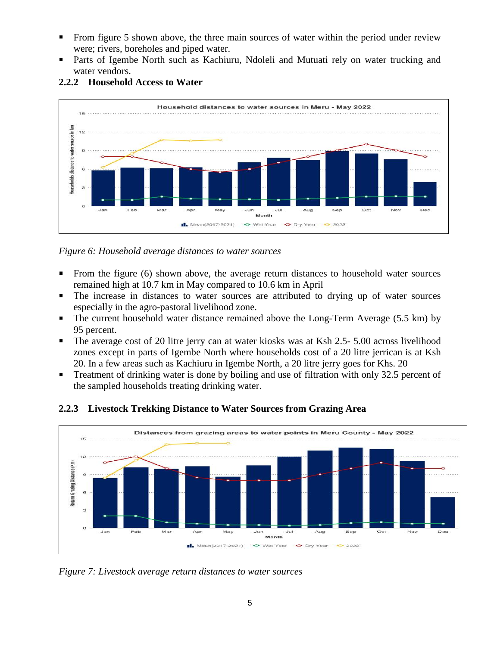- From figure 5 shown above, the three main sources of water within the period under review were; rivers, boreholes and piped water.
- Parts of Igembe North such as Kachiuru, Ndoleli and Mutuati rely on water trucking and water vendors.



#### **2.2.2 Household Access to Water**

*Figure 6: Household average distances to water sources*

- From the figure (6) shown above, the average return distances to household water sources remained high at 10.7 km in May compared to 10.6 km in April
- The increase in distances to water sources are attributed to drying up of water sources especially in the agro-pastoral livelihood zone.
- The current household water distance remained above the Long-Term Average (5.5 km) by 95 percent.
- The average cost of 20 litre jerry can at water kiosks was at Ksh 2.5- 5.00 across livelihood zones except in parts of Igembe North where households cost of a 20 litre jerrican is at Ksh 20. In a few areas such as Kachiuru in Igembe North, a 20 litre jerry goes for Khs. 20
- **Treatment of drinking water is done by boiling and use of filtration with only 32.5 percent of** the sampled households treating drinking water.



**2.2.3 Livestock Trekking Distance to Water Sources from Grazing Area**

*Figure 7: Livestock average return distances to water sources*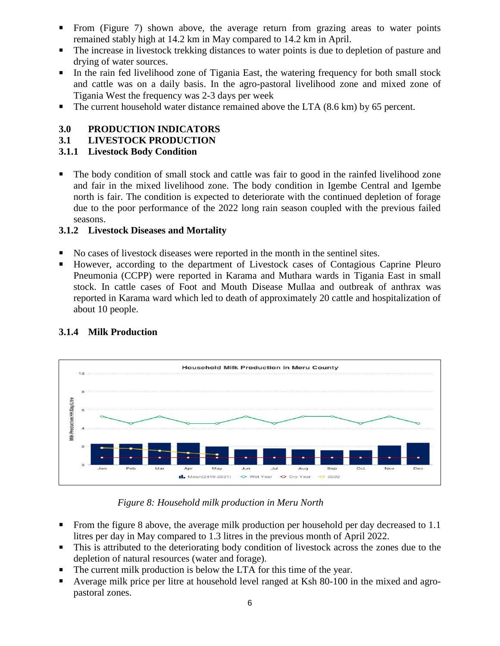- From (Figure 7) shown above, the average return from grazing areas to water points remained stably high at 14.2 km in May compared to 14.2 km in April.
- The increase in livestock trekking distances to water points is due to depletion of pasture and drying of water sources.
- **•** In the rain fed livelihood zone of Tigania East, the watering frequency for both small stock and cattle was on a daily basis. In the agro-pastoral livelihood zone and mixed zone of Tigania West the frequency was 2-3 days per week
- $\blacksquare$  The current household water distance remained above the LTA (8.6 km) by 65 percent.

#### **3.0 PRODUCTION INDICATORS**

#### **3.1 LIVESTOCK PRODUCTION**

#### **3.1.1 Livestock Body Condition**

The body condition of small stock and cattle was fair to good in the rainfed livelihood zone and fair in the mixed livelihood zone. The body condition in Igembe Central and Igembe north is fair. The condition is expected to deteriorate with the continued depletion of forage due to the poor performance of the 2022 long rain season coupled with the previous failed seasons.

#### **3.1.2 Livestock Diseases and Mortality**

- No cases of livestock diseases were reported in the month in the sentinel sites.
- However, according to the department of Livestock cases of Contagious Caprine Pleuro Pneumonia (CCPP) were reported in Karama and Muthara wards in Tigania East in small stock. In cattle cases of Foot and Mouth Disease Mullaa and outbreak of anthrax was reported in Karama ward which led to death of approximately 20 cattle and hospitalization of about 10 people.



## **3.1.4 Milk Production**

#### *Figure 8: Household milk production in Meru North*

- From the figure 8 above, the average milk production per household per day decreased to 1.1 litres per day in May compared to 1.3 litres in the previous month of April 2022.
- This is attributed to the deteriorating body condition of livestock across the zones due to the depletion of natural resources (water and forage).
- The current milk production is below the LTA for this time of the year.
- Average milk price per litre at household level ranged at Ksh 80-100 in the mixed and agropastoral zones.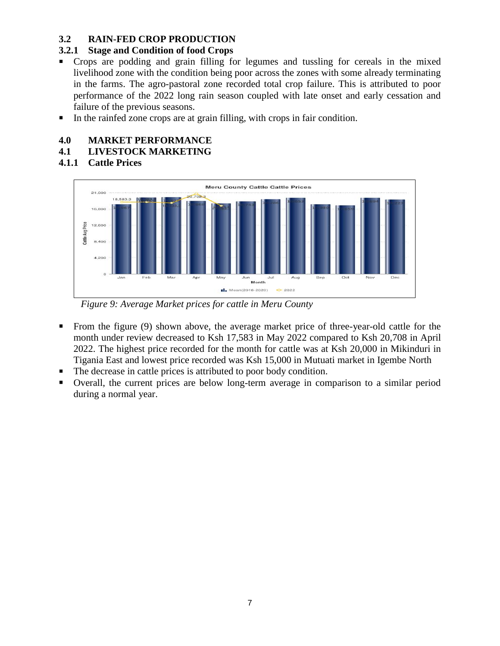#### **3.2 RAIN-FED CROP PRODUCTION**

#### **3.2.1 Stage and Condition of food Crops**

- Crops are podding and grain filling for legumes and tussling for cereals in the mixed livelihood zone with the condition being poor across the zones with some already terminating in the farms. The agro-pastoral zone recorded total crop failure. This is attributed to poor performance of the 2022 long rain season coupled with late onset and early cessation and failure of the previous seasons.
- In the rainfed zone crops are at grain filling, with crops in fair condition.

#### **4.0 MARKET PERFORMANCE**

#### **4.1 LIVESTOCK MARKETING**

**4.1.1 Cattle Prices**



*Figure 9: Average Market prices for cattle in Meru County*

- From the figure (9) shown above, the average market price of three-year-old cattle for the month under review decreased to Ksh 17,583 in May 2022 compared to Ksh 20,708 in April 2022. The highest price recorded for the month for cattle was at Ksh 20,000 in Mikinduri in Tigania East and lowest price recorded was Ksh 15,000 in Mutuati market in Igembe North
- The decrease in cattle prices is attributed to poor body condition.
- Overall, the current prices are below long-term average in comparison to a similar period during a normal year.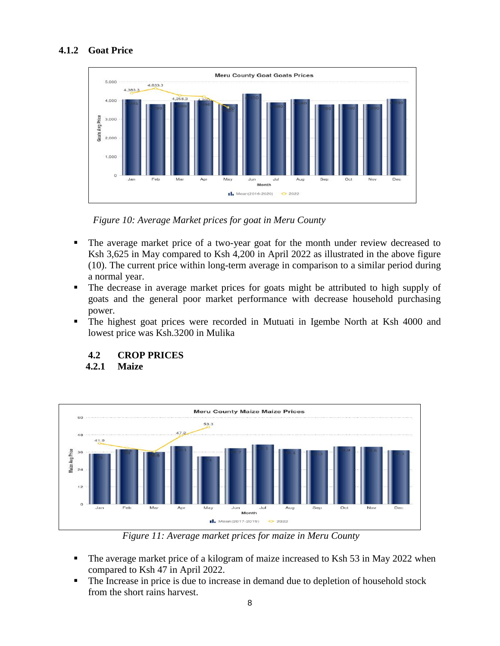#### **4.1.2 Goat Price**



 *Figure 10: Average Market prices for goat in Meru County*

- The average market price of a two-year goat for the month under review decreased to Ksh 3,625 in May compared to Ksh 4,200 in April 2022 as illustrated in the above figure (10). The current price within long-term average in comparison to a similar period during a normal year.
- The decrease in average market prices for goats might be attributed to high supply of goats and the general poor market performance with decrease household purchasing power.
- The highest goat prices were recorded in Mutuati in Igembe North at Ksh 4000 and lowest price was Ksh.3200 in Mulika

#### **4.2 CROP PRICES**

 **4.2.1 Maize**



*Figure 11: Average market prices for maize in Meru County*

- The average market price of a kilogram of maize increased to Ksh 53 in May 2022 when compared to Ksh 47 in April 2022.
- The Increase in price is due to increase in demand due to depletion of household stock from the short rains harvest.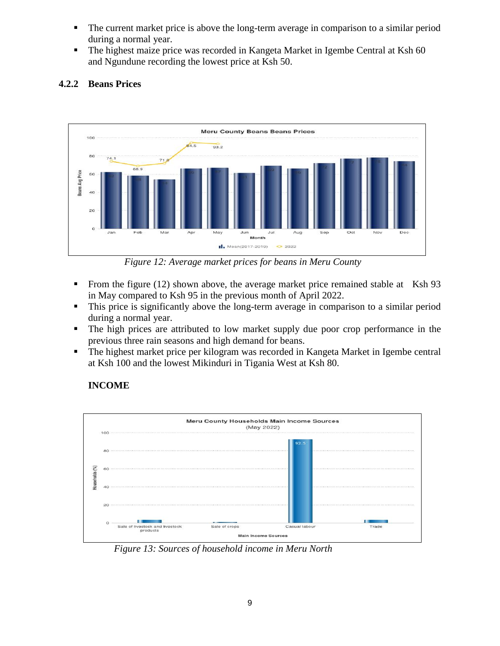- The current market price is above the long-term average in comparison to a similar period during a normal year.
- The highest maize price was recorded in Kangeta Market in Igembe Central at Ksh 60 and Ngundune recording the lowest price at Ksh 50.



#### **4.2.2 Beans Prices**

 *Figure 12: Average market prices for beans in Meru County*

- From the figure (12) shown above, the average market price remained stable at Ksh 93 in May compared to Ksh 95 in the previous month of April 2022.
- **•** This price is significantly above the long-term average in comparison to a similar period during a normal year.
- The high prices are attributed to low market supply due poor crop performance in the previous three rain seasons and high demand for beans.
- The highest market price per kilogram was recorded in Kangeta Market in Igembe central at Ksh 100 and the lowest Mikinduri in Tigania West at Ksh 80.

## **INCOME**



 *Figure 13: Sources of household income in Meru North*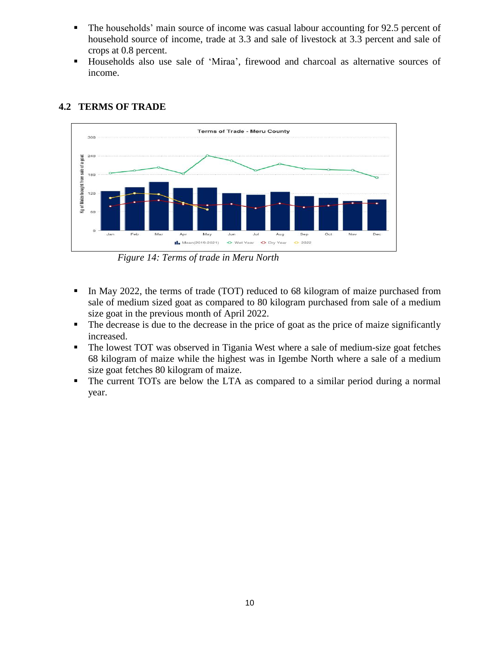- **•** The households' main source of income was casual labour accounting for 92.5 percent of household source of income, trade at 3.3 and sale of livestock at 3.3 percent and sale of crops at 0.8 percent.
- Households also use sale of 'Miraa', firewood and charcoal as alternative sources of income.



#### **4.2 TERMS OF TRADE**

 *Figure 14: Terms of trade in Meru North*

- **•** In May 2022, the terms of trade (TOT) reduced to 68 kilogram of maize purchased from sale of medium sized goat as compared to 80 kilogram purchased from sale of a medium size goat in the previous month of April 2022.
- The decrease is due to the decrease in the price of goat as the price of maize significantly increased.
- The lowest TOT was observed in Tigania West where a sale of medium-size goat fetches 68 kilogram of maize while the highest was in Igembe North where a sale of a medium size goat fetches 80 kilogram of maize.
- The current TOTs are below the LTA as compared to a similar period during a normal year.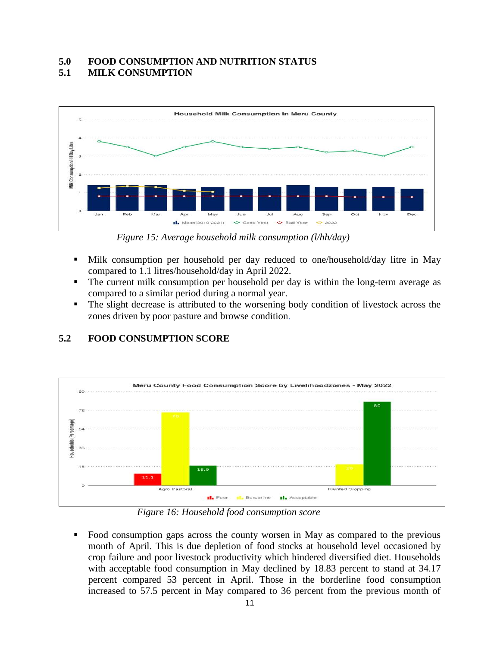#### **5.0 FOOD CONSUMPTION AND NUTRITION STATUS 5.1 MILK CONSUMPTION**



*Figure 15: Average household milk consumption (l/hh/day)*

- Milk consumption per household per day reduced to one/household/day litre in May compared to 1.1 litres/household/day in April 2022.
- The current milk consumption per household per day is within the long-term average as compared to a similar period during a normal year.
- The slight decrease is attributed to the worsening body condition of livestock across the zones driven by poor pasture and browse condition.



## **5.2 FOOD CONSUMPTION SCORE**

 *Figure 16: Household food consumption score*

▪ Food consumption gaps across the county worsen in May as compared to the previous month of April. This is due depletion of food stocks at household level occasioned by crop failure and poor livestock productivity which hindered diversified diet. Households with acceptable food consumption in May declined by 18.83 percent to stand at 34.17 percent compared 53 percent in April. Those in the borderline food consumption increased to 57.5 percent in May compared to 36 percent from the previous month of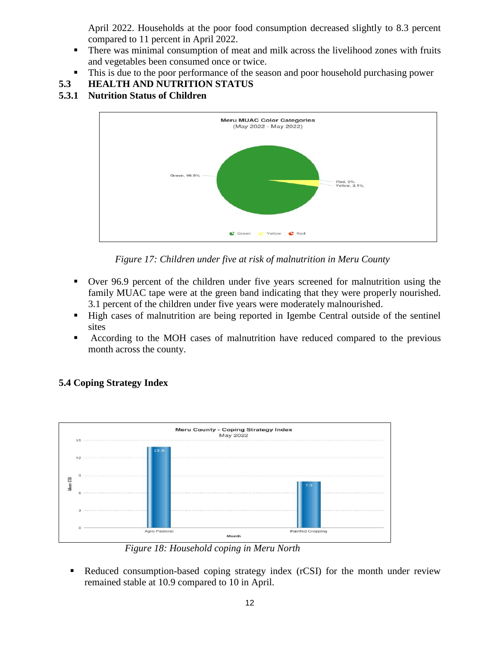April 2022. Households at the poor food consumption decreased slightly to 8.3 percent compared to 11 percent in April 2022.

- **•** There was minimal consumption of meat and milk across the livelihood zones with fruits and vegetables been consumed once or twice.
- This is due to the poor performance of the season and poor household purchasing power
- **5.3 HEALTH AND NUTRITION STATUS**
- **5.3.1 Nutrition Status of Children**



 *Figure 17: Children under five at risk of malnutrition in Meru County*

- Over 96.9 percent of the children under five years screened for malnutrition using the family MUAC tape were at the green band indicating that they were properly nourished. 3.1 percent of the children under five years were moderately malnourished.
- High cases of malnutrition are being reported in Igembe Central outside of the sentinel sites
- According to the MOH cases of malnutrition have reduced compared to the previous month across the county.



## **5.4 Coping Strategy Index**

 *Figure 18: Household coping in Meru North*

■ Reduced consumption-based coping strategy index (rCSI) for the month under review remained stable at 10.9 compared to 10 in April.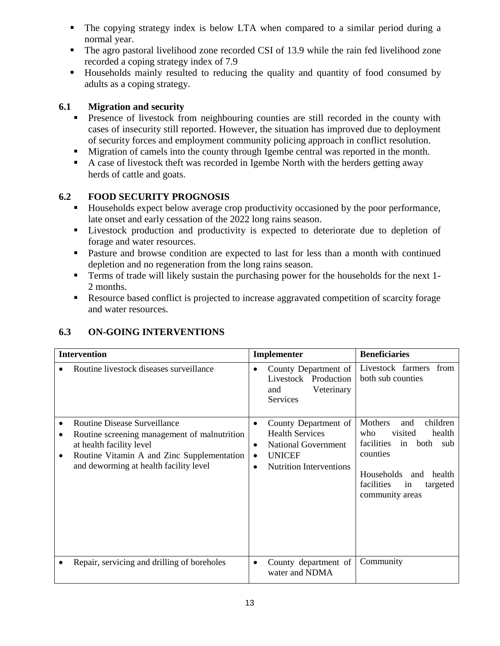- The copying strategy index is below LTA when compared to a similar period during a normal year.
- The agro pastoral livelihood zone recorded CSI of 13.9 while the rain fed livelihood zone recorded a coping strategy index of 7.9
- Households mainly resulted to reducing the quality and quantity of food consumed by adults as a coping strategy.

#### **6.1 Migration and security**

- **•** Presence of livestock from neighbouring counties are still recorded in the county with cases of insecurity still reported. However, the situation has improved due to deployment of security forces and employment community policing approach in conflict resolution.
- Migration of camels into the county through Igembe central was reported in the month.
- A case of livestock theft was recorded in Igembe North with the herders getting away herds of cattle and goats.

#### **6.2 FOOD SECURITY PROGNOSIS**

- Households expect below average crop productivity occasioned by the poor performance, late onset and early cessation of the 2022 long rains season.
- Livestock production and productivity is expected to deteriorate due to depletion of forage and water resources.
- Pasture and browse condition are expected to last for less than a month with continued depletion and no regeneration from the long rains season.
- **•** Terms of trade will likely sustain the purchasing power for the households for the next 1-2 months.
- Resource based conflict is projected to increase aggravated competition of scarcity forage and water resources.

| <b>Intervention</b> |                                                                                                                                                                                                         |                             | Implementer                                                                                                                     | <b>Beneficiaries</b>                                                                                                                                                                           |  |
|---------------------|---------------------------------------------------------------------------------------------------------------------------------------------------------------------------------------------------------|-----------------------------|---------------------------------------------------------------------------------------------------------------------------------|------------------------------------------------------------------------------------------------------------------------------------------------------------------------------------------------|--|
|                     | Routine livestock diseases surveillance                                                                                                                                                                 | $\bullet$                   | County Department of<br>Livestock Production<br>Veterinary<br>and<br><b>Services</b>                                            | Livestock farmers<br>from<br>both sub counties                                                                                                                                                 |  |
| $\bullet$<br>٠      | <b>Routine Disease Surveillance</b><br>Routine screening management of malnutrition<br>at health facility level<br>Routine Vitamin A and Zinc Supplementation<br>and deworming at health facility level | $\bullet$<br>٠<br>$\bullet$ | County Department of<br><b>Health Services</b><br><b>National Government</b><br><b>UNICEF</b><br><b>Nutrition Interventions</b> | <b>Mothers</b><br>children<br>and<br>visited<br>who<br>health<br>facilities<br>in<br>both<br>sub<br>counties<br>Households<br>and<br>health<br>facilities<br>targeted<br>in<br>community areas |  |
|                     | Repair, servicing and drilling of boreholes                                                                                                                                                             | ٠                           | County department of<br>water and NDMA                                                                                          | Community                                                                                                                                                                                      |  |

## **6.3 ON-GOING INTERVENTIONS**